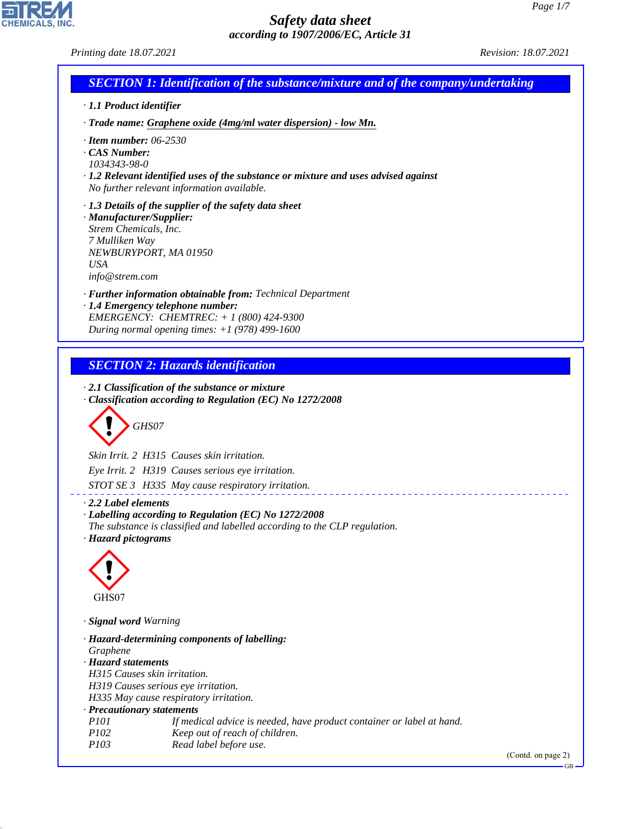CHEMICALS, INC.

44.1.1

| Printing date 18.07.2021                                                                             |                                                                                                                                                                                                     | Revision: 18.07.2021 |
|------------------------------------------------------------------------------------------------------|-----------------------------------------------------------------------------------------------------------------------------------------------------------------------------------------------------|----------------------|
|                                                                                                      | <b>SECTION 1: Identification of the substance/mixture and of the company/undertaking</b>                                                                                                            |                      |
| · 1.1 Product identifier                                                                             |                                                                                                                                                                                                     |                      |
|                                                                                                      | · Trade name: Graphene oxide (4mg/ml water dispersion) - low Mn.                                                                                                                                    |                      |
| $\cdot$ Item number: 06-2530<br>$\cdot$ CAS Number:<br>1034343-98-0                                  | $\cdot$ 1.2 Relevant identified uses of the substance or mixture and uses advised against<br>No further relevant information available.                                                             |                      |
| · Manufacturer/Supplier:<br>Strem Chemicals, Inc.<br>7 Mulliken Way<br><b>USA</b><br>info@stream.com | · 1.3 Details of the supplier of the safety data sheet<br>NEWBURYPORT, MA 01950                                                                                                                     |                      |
|                                                                                                      | · Further information obtainable from: Technical Department<br>· 1.4 Emergency telephone number:<br>EMERGENCY: CHEMTREC: $+ 1 (800) 424 - 9300$<br>During normal opening times: $+1$ (978) 499-1600 |                      |
|                                                                                                      | <b>SECTION 2: Hazards identification</b><br>$\cdot$ 2.1 Classification of the substance or mixture                                                                                                  |                      |
|                                                                                                      | Classification according to Regulation (EC) No 1272/2008<br>GHS07                                                                                                                                   |                      |
|                                                                                                      | Skin Irrit. 2 H315 Causes skin irritation.                                                                                                                                                          |                      |
|                                                                                                      | Eye Irrit. 2 H319 Causes serious eye irritation.                                                                                                                                                    |                      |
|                                                                                                      | STOT SE 3 H335 May cause respiratory irritation.                                                                                                                                                    |                      |
| $\cdot$ 2.2 Label elements<br>· Hazard pictograms                                                    | Labelling according to Regulation (EC) No 1272/2008<br>The substance is classified and labelled according to the CLP regulation.                                                                    |                      |
|                                                                                                      |                                                                                                                                                                                                     |                      |
| GHS07<br>· Signal word Warning                                                                       |                                                                                                                                                                                                     |                      |
|                                                                                                      | · Hazard-determining components of labelling:                                                                                                                                                       |                      |
| Graphene                                                                                             |                                                                                                                                                                                                     |                      |
| · Hazard statements                                                                                  | H315 Causes skin irritation.<br>H319 Causes serious eye irritation.                                                                                                                                 |                      |
|                                                                                                      | H335 May cause respiratory irritation.                                                                                                                                                              |                      |
| · Precautionary statements<br><i>P101</i>                                                            | If medical advice is needed, have product container or label at hand.                                                                                                                               |                      |
| P102                                                                                                 | Keep out of reach of children.                                                                                                                                                                      |                      |
| P103                                                                                                 | Read label before use.                                                                                                                                                                              | (Contd. on page 2)   |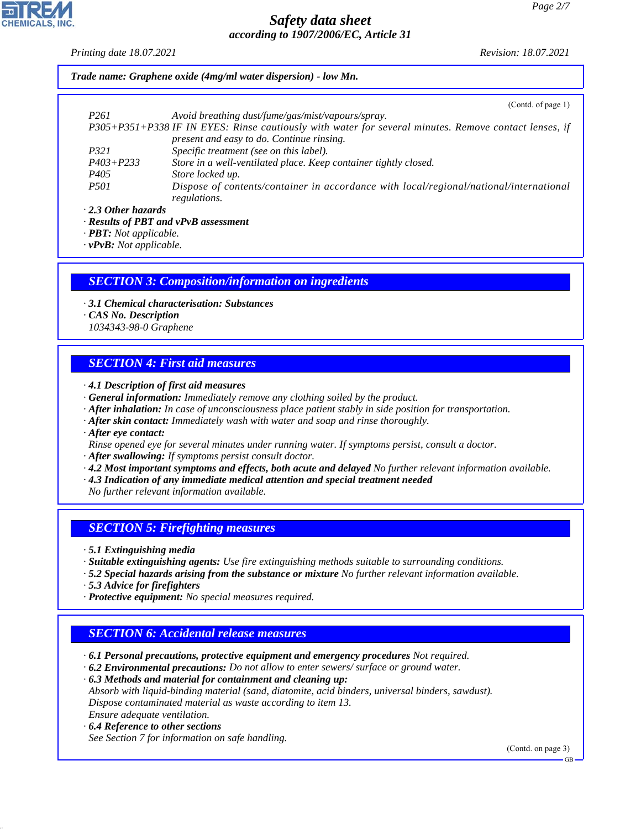*Printing date 18.07.2021 Revision: 18.07.2021*

*Trade name: Graphene oxide (4mg/ml water dispersion) - low Mn.*

|                           | (Contd. of page 1)                                                                                    |
|---------------------------|-------------------------------------------------------------------------------------------------------|
| P <sub>261</sub>          | Avoid breathing dust/fume/gas/mist/vapours/spray.                                                     |
|                           | P305+P351+P338 IF IN EYES: Rinse cautiously with water for several minutes. Remove contact lenses, if |
|                           | present and easy to do. Continue rinsing.                                                             |
| P321                      | Specific treatment (see on this label).                                                               |
| $P403 + P233$             | Store in a well-ventilated place. Keep container tightly closed.                                      |
| P <sub>405</sub>          | Store locked up.                                                                                      |
| <i>P501</i>               | Dispose of contents/container in accordance with local/regional/national/international                |
|                           | regulations.                                                                                          |
| $\cdot$ 2.3 Other hazards |                                                                                                       |

*· Results of PBT and vPvB assessment*

*· PBT: Not applicable.*

*· vPvB: Not applicable.*

#### *SECTION 3: Composition/information on ingredients*

- *· 3.1 Chemical characterisation: Substances*
- *· CAS No. Description*
- *1034343-98-0 Graphene*

#### *SECTION 4: First aid measures*

- *· 4.1 Description of first aid measures*
- *· General information: Immediately remove any clothing soiled by the product.*
- *· After inhalation: In case of unconsciousness place patient stably in side position for transportation.*
- *· After skin contact: Immediately wash with water and soap and rinse thoroughly.*
- *· After eye contact:*
- *Rinse opened eye for several minutes under running water. If symptoms persist, consult a doctor.*
- *· After swallowing: If symptoms persist consult doctor.*
- *· 4.2 Most important symptoms and effects, both acute and delayed No further relevant information available.*
- *· 4.3 Indication of any immediate medical attention and special treatment needed*
- *No further relevant information available.*

#### *SECTION 5: Firefighting measures*

*· 5.1 Extinguishing media*

- *· Suitable extinguishing agents: Use fire extinguishing methods suitable to surrounding conditions.*
- *· 5.2 Special hazards arising from the substance or mixture No further relevant information available.*
- *· 5.3 Advice for firefighters*
- *· Protective equipment: No special measures required.*

#### *SECTION 6: Accidental release measures*

- *· 6.1 Personal precautions, protective equipment and emergency procedures Not required.*
- *· 6.2 Environmental precautions: Do not allow to enter sewers/ surface or ground water.*

*· 6.3 Methods and material for containment and cleaning up: Absorb with liquid-binding material (sand, diatomite, acid binders, universal binders, sawdust). Dispose contaminated material as waste according to item 13. Ensure adequate ventilation.*

*· 6.4 Reference to other sections*

44.1.1

*See Section 7 for information on safe handling.*

(Contd. on page 3)

GB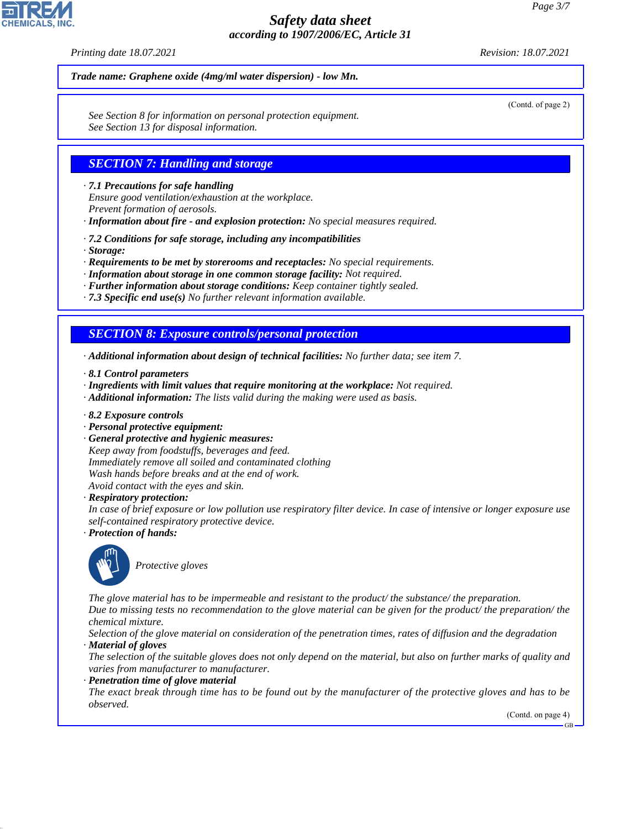*Printing date 18.07.2021 Revision: 18.07.2021*

*Trade name: Graphene oxide (4mg/ml water dispersion) - low Mn.*

*See Section 8 for information on personal protection equipment. See Section 13 for disposal information.*

#### *SECTION 7: Handling and storage*

*· 7.1 Precautions for safe handling*

*Ensure good ventilation/exhaustion at the workplace.*

*Prevent formation of aerosols.*

*· Information about fire - and explosion protection: No special measures required.*

- *· 7.2 Conditions for safe storage, including any incompatibilities*
- *· Storage:*

*· Requirements to be met by storerooms and receptacles: No special requirements.*

*· Information about storage in one common storage facility: Not required.*

*· Further information about storage conditions: Keep container tightly sealed.*

*· 7.3 Specific end use(s) No further relevant information available.*

#### *SECTION 8: Exposure controls/personal protection*

*· Additional information about design of technical facilities: No further data; see item 7.*

- *· 8.1 Control parameters*
- *· Ingredients with limit values that require monitoring at the workplace: Not required.*
- *· Additional information: The lists valid during the making were used as basis.*
- *· 8.2 Exposure controls*
- *· Personal protective equipment:*
- *· General protective and hygienic measures:*

*Keep away from foodstuffs, beverages and feed. Immediately remove all soiled and contaminated clothing Wash hands before breaks and at the end of work. Avoid contact with the eyes and skin.*

*· Respiratory protection:*

*In case of brief exposure or low pollution use respiratory filter device. In case of intensive or longer exposure use self-contained respiratory protective device.*

*· Protection of hands:*



44.1.1

\_S*Protective gloves*

*The glove material has to be impermeable and resistant to the product/ the substance/ the preparation.*

*Due to missing tests no recommendation to the glove material can be given for the product/ the preparation/ the chemical mixture.*

*Selection of the glove material on consideration of the penetration times, rates of diffusion and the degradation · Material of gloves*

*The selection of the suitable gloves does not only depend on the material, but also on further marks of quality and varies from manufacturer to manufacturer.*

*· Penetration time of glove material*

*The exact break through time has to be found out by the manufacturer of the protective gloves and has to be observed.*

(Contd. on page 4)

GB



(Contd. of page 2)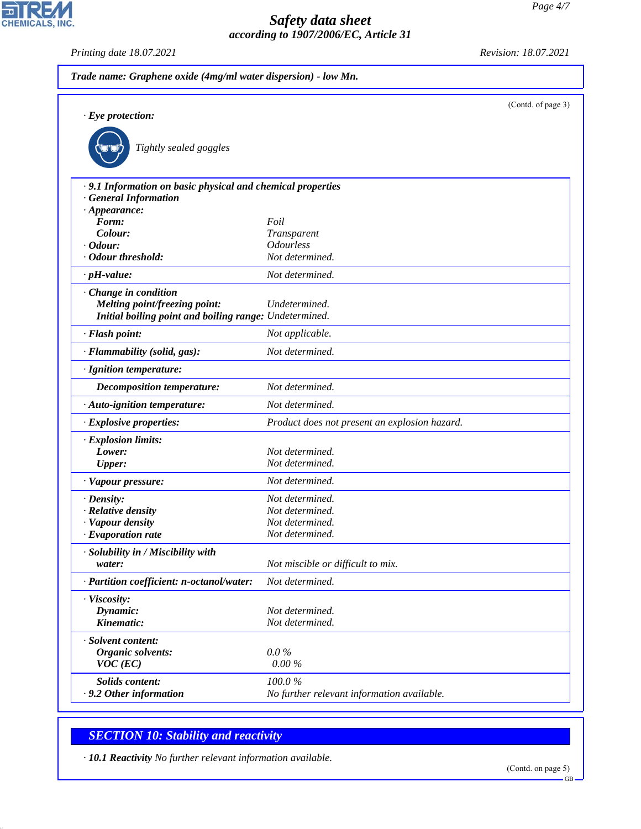

*Printing date 18.07.2021 Revision: 18.07.2021*

| $\cdot$ Eye protection:                                                                   |                                               | (Contd. of page 3) |
|-------------------------------------------------------------------------------------------|-----------------------------------------------|--------------------|
| Tightly sealed goggles                                                                    |                                               |                    |
| · 9.1 Information on basic physical and chemical properties<br><b>General Information</b> |                                               |                    |
| $\cdot$ Appearance:                                                                       |                                               |                    |
| Form:                                                                                     | Foil                                          |                    |
| Colour:                                                                                   | Transparent                                   |                    |
| $\cdot$ Odour:                                                                            | <b>Odourless</b>                              |                    |
| · Odour threshold:                                                                        | Not determined.                               |                    |
| $\cdot$ pH-value:                                                                         | Not determined.                               |                    |
| · Change in condition                                                                     |                                               |                    |
| <b>Melting point/freezing point:</b>                                                      | Undetermined.                                 |                    |
| Initial boiling point and boiling range: Undetermined.                                    |                                               |                    |
| · Flash point:                                                                            | Not applicable.                               |                    |
| · Flammability (solid, gas):                                                              | Not determined.                               |                    |
| · Ignition temperature:                                                                   |                                               |                    |
| Decomposition temperature:                                                                | Not determined.                               |                    |
| · Auto-ignition temperature:                                                              | Not determined.                               |                    |
| · Explosive properties:                                                                   | Product does not present an explosion hazard. |                    |
| · Explosion limits:                                                                       |                                               |                    |
| Lower:                                                                                    | Not determined.                               |                    |
| <b>Upper:</b>                                                                             | Not determined.                               |                    |
| · Vapour pressure:                                                                        | Not determined.                               |                    |
| $\cdot$ Density:                                                                          | Not determined.                               |                    |
| · Relative density                                                                        | Not determined.                               |                    |
| · Vapour density                                                                          | Not determined.                               |                    |
| $\cdot$ Evaporation rate                                                                  | Not determined.                               |                    |
| · Solubility in / Miscibility with                                                        |                                               |                    |
| water:                                                                                    | Not miscible or difficult to mix.             |                    |
| · Partition coefficient: n-octanol/water:                                                 | Not determined.                               |                    |
| · Viscosity:                                                                              |                                               |                    |
| Dynamic:                                                                                  | Not determined.                               |                    |
| Kinematic:                                                                                | Not determined.                               |                    |
| · Solvent content:                                                                        |                                               |                    |
| Organic solvents:                                                                         | $0.0\%$                                       |                    |
| $VOC$ (EC)                                                                                | $0.00\,\%$                                    |                    |
| Solids content:                                                                           | 100.0%                                        |                    |
| .9.2 Other information                                                                    | No further relevant information available.    |                    |

# *SECTION 10: Stability and reactivity*

44.1.1

*· 10.1 Reactivity No further relevant information available.*

GB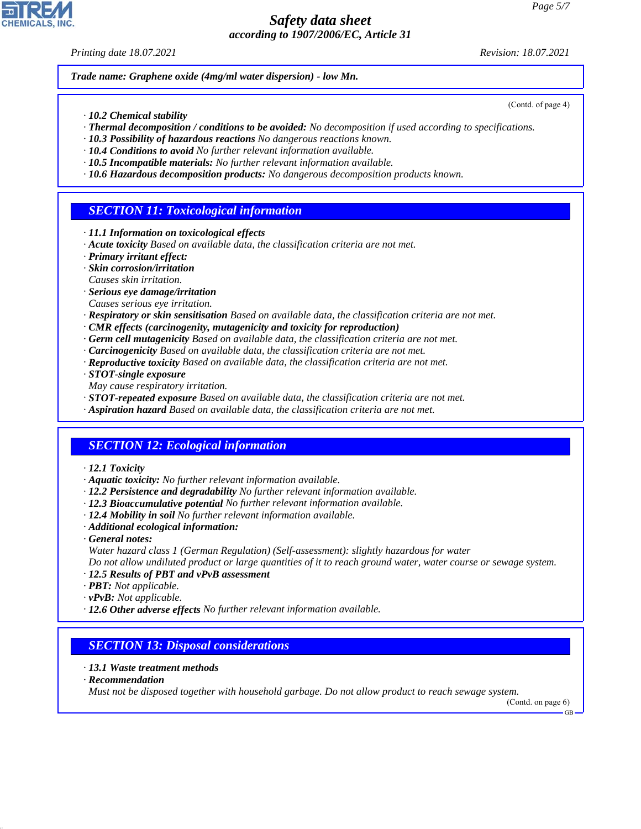*Printing date 18.07.2021 Revision: 18.07.2021*

(Contd. of page 4)

*Trade name: Graphene oxide (4mg/ml water dispersion) - low Mn.*

- *· 10.2 Chemical stability*
- *· Thermal decomposition / conditions to be avoided: No decomposition if used according to specifications.*
- *· 10.3 Possibility of hazardous reactions No dangerous reactions known.*
- *· 10.4 Conditions to avoid No further relevant information available.*
- *· 10.5 Incompatible materials: No further relevant information available.*
- *· 10.6 Hazardous decomposition products: No dangerous decomposition products known.*

## *SECTION 11: Toxicological information*

- *· 11.1 Information on toxicological effects*
- *· Acute toxicity Based on available data, the classification criteria are not met.*
- *· Primary irritant effect:*
- *· Skin corrosion/irritation*
- *Causes skin irritation.*
- *· Serious eye damage/irritation*
- *Causes serious eye irritation.*
- *· Respiratory or skin sensitisation Based on available data, the classification criteria are not met.*
- *· CMR effects (carcinogenity, mutagenicity and toxicity for reproduction)*
- *· Germ cell mutagenicity Based on available data, the classification criteria are not met.*
- *· Carcinogenicity Based on available data, the classification criteria are not met.*
- *· Reproductive toxicity Based on available data, the classification criteria are not met.*
- *· STOT-single exposure*
- *May cause respiratory irritation.*
- *· STOT-repeated exposure Based on available data, the classification criteria are not met.*
- *· Aspiration hazard Based on available data, the classification criteria are not met.*

# *SECTION 12: Ecological information*

- *· 12.1 Toxicity*
- *· Aquatic toxicity: No further relevant information available.*
- *· 12.2 Persistence and degradability No further relevant information available.*
- *· 12.3 Bioaccumulative potential No further relevant information available.*
- *· 12.4 Mobility in soil No further relevant information available.*
- *· Additional ecological information:*
- *· General notes:*
- *Water hazard class 1 (German Regulation) (Self-assessment): slightly hazardous for water Do not allow undiluted product or large quantities of it to reach ground water, water course or sewage system.*
- *· 12.5 Results of PBT and vPvB assessment*
- *· PBT: Not applicable.*
- *· vPvB: Not applicable.*
- *· 12.6 Other adverse effects No further relevant information available.*

#### *SECTION 13: Disposal considerations*

- *· 13.1 Waste treatment methods*
- *· Recommendation*

44.1.1

*Must not be disposed together with household garbage. Do not allow product to reach sewage system.*

(Contd. on page 6) GB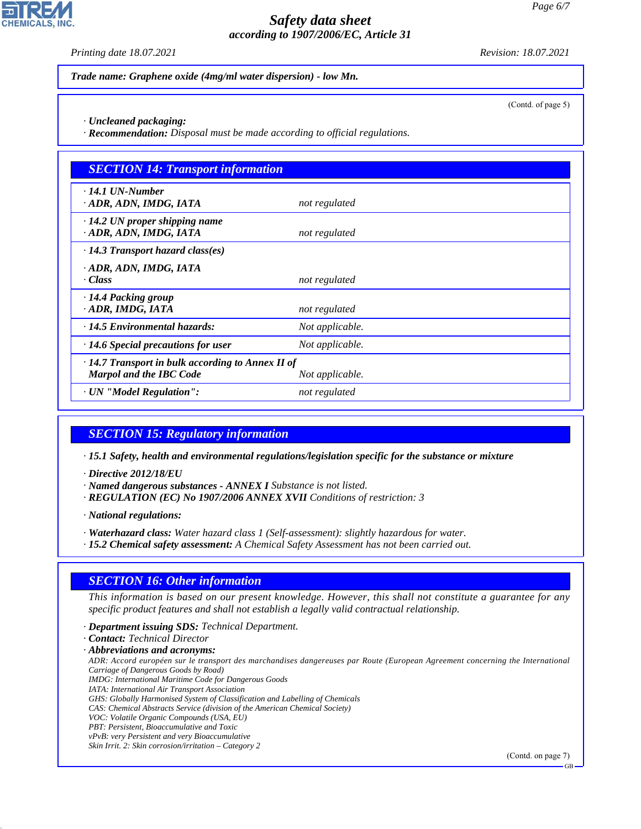*Printing date 18.07.2021 Revision: 18.07.2021*

*Trade name: Graphene oxide (4mg/ml water dispersion) - low Mn.*

(Contd. of page 5)

- *· Uncleaned packaging:*
- *· Recommendation: Disposal must be made according to official regulations.*

| <b>SECTION 14: Transport information</b>                                            |                 |  |  |
|-------------------------------------------------------------------------------------|-----------------|--|--|
| $\cdot$ 14.1 UN-Number<br>· ADR, ADN, IMDG, IATA                                    | not regulated   |  |  |
| $\cdot$ 14.2 UN proper shipping name<br>· ADR, ADN, IMDG, IATA                      | not regulated   |  |  |
| $\cdot$ 14.3 Transport hazard class(es)                                             |                 |  |  |
| · ADR, ADN, IMDG, IATA<br>· Class                                                   | not regulated   |  |  |
| $\cdot$ 14.4 Packing group<br>ADR, IMDG, IATA                                       | not regulated   |  |  |
| $\cdot$ 14.5 Environmental hazards:                                                 | Not applicable. |  |  |
| $\cdot$ 14.6 Special precautions for user                                           | Not applicable. |  |  |
| · 14.7 Transport in bulk according to Annex II of<br><b>Marpol and the IBC Code</b> | Not applicable. |  |  |
| · UN "Model Regulation":                                                            | not regulated   |  |  |

#### *SECTION 15: Regulatory information*

*· 15.1 Safety, health and environmental regulations/legislation specific for the substance or mixture*

- *· Directive 2012/18/EU*
- *· Named dangerous substances ANNEX I Substance is not listed.*
- *· REGULATION (EC) No 1907/2006 ANNEX XVII Conditions of restriction: 3*

*· National regulations:*

- *· Waterhazard class: Water hazard class 1 (Self-assessment): slightly hazardous for water.*
- *· 15.2 Chemical safety assessment: A Chemical Safety Assessment has not been carried out.*

#### *SECTION 16: Other information*

*This information is based on our present knowledge. However, this shall not constitute a guarantee for any specific product features and shall not establish a legally valid contractual relationship.*

*· Department issuing SDS: Technical Department.*

*· Contact: Technical Director*

*· Abbreviations and acronyms:*

*ADR: Accord européen sur le transport des marchandises dangereuses par Route (European Agreement concerning the International Carriage of Dangerous Goods by Road) IMDG: International Maritime Code for Dangerous Goods*

- *IATA: International Air Transport Association*
- *GHS: Globally Harmonised System of Classification and Labelling of Chemicals*
- *CAS: Chemical Abstracts Service (division of the American Chemical Society)*
- *VOC: Volatile Organic Compounds (USA, EU)*
- *PBT: Persistent, Bioaccumulative and Toxic*

44.1.1

*vPvB: very Persistent and very Bioaccumulative Skin Irrit. 2: Skin corrosion/irritation – Category 2*

(Contd. on page 7)

GB